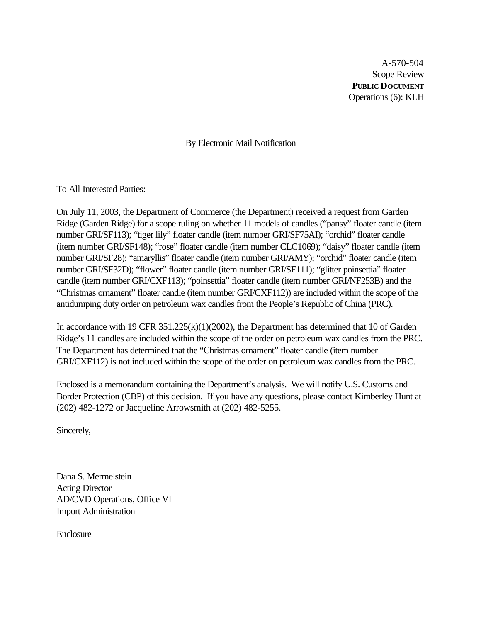A-570-504 Scope Review **PUBLIC DOCUMENT** Operations (6): KLH

By Electronic Mail Notification

To All Interested Parties:

On July 11, 2003, the Department of Commerce (the Department) received a request from Garden Ridge (Garden Ridge) for a scope ruling on whether 11 models of candles ("pansy" floater candle (item number GRI/SF113); "tiger lily" floater candle (item number GRI/SF75AI); "orchid" floater candle (item number GRI/SF148); "rose" floater candle (item number CLC1069); "daisy" floater candle (item number GRI/SF28); "amaryllis" floater candle (item number GRI/AMY); "orchid" floater candle (item number GRI/SF32D); "flower" floater candle (item number GRI/SF111); "glitter poinsettia" floater candle (item number GRI/CXF113); "poinsettia" floater candle (item number GRI/NF253B) and the "Christmas ornament" floater candle (item number GRI/CXF112)) are included within the scope of the antidumping duty order on petroleum wax candles from the People's Republic of China (PRC).

In accordance with 19 CFR 351.225(k)(1)(2002), the Department has determined that 10 of Garden Ridge's 11 candles are included within the scope of the order on petroleum wax candles from the PRC. The Department has determined that the "Christmas ornament" floater candle (item number GRI/CXF112) is not included within the scope of the order on petroleum wax candles from the PRC.

Enclosed is a memorandum containing the Department's analysis. We will notify U.S. Customs and Border Protection (CBP) of this decision. If you have any questions, please contact Kimberley Hunt at (202) 482-1272 or Jacqueline Arrowsmith at (202) 482-5255.

Sincerely,

Dana S. Mermelstein Acting Director AD/CVD Operations, Office VI Import Administration

Enclosure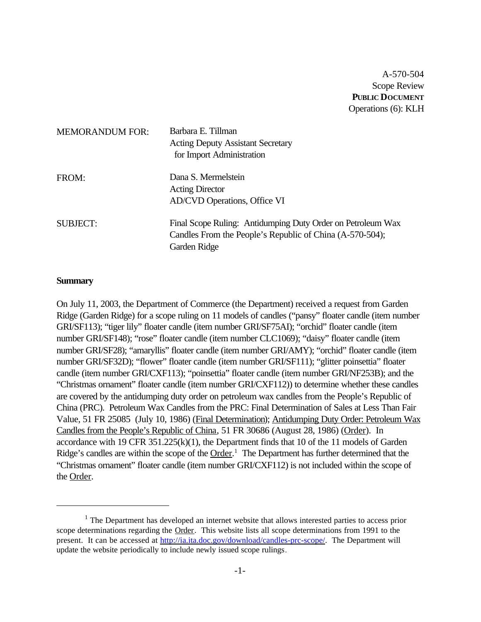A-570-504 Scope Review **PUBLIC DOCUMENT** Operations (6): KLH

| <b>MEMORANDUM FOR:</b> | Barbara E. Tillman<br><b>Acting Deputy Assistant Secretary</b><br>for Import Administration                                             |
|------------------------|-----------------------------------------------------------------------------------------------------------------------------------------|
| FROM:                  | Dana S. Mermelstein<br><b>Acting Director</b><br><b>AD/CVD Operations, Office VI</b>                                                    |
| <b>SUBJECT:</b>        | Final Scope Ruling: Antidumping Duty Order on Petroleum Wax<br>Candles From the People's Republic of China (A-570-504);<br>Garden Ridge |

#### **Summary**

On July 11, 2003, the Department of Commerce (the Department) received a request from Garden Ridge (Garden Ridge) for a scope ruling on 11 models of candles ("pansy" floater candle (item number GRI/SF113); "tiger lily" floater candle (item number GRI/SF75AI); "orchid" floater candle (item number GRI/SF148); "rose" floater candle (item number CLC1069); "daisy" floater candle (item number GRI/SF28); "amaryllis" floater candle (item number GRI/AMY); "orchid" floater candle (item number GRI/SF32D); "flower" floater candle (item number GRI/SF111); "glitter poinsettia" floater candle (item number GRI/CXF113); "poinsettia" floater candle (item number GRI/NF253B); and the "Christmas ornament" floater candle (item number GRI/CXF112)) to determine whether these candles are covered by the antidumping duty order on petroleum wax candles from the People's Republic of China (PRC). Petroleum Wax Candles from the PRC: Final Determination of Sales at Less Than Fair Value, 51 FR 25085 (July 10, 1986) (Final Determination); Antidumping Duty Order: Petroleum Wax Candles from the People's Republic of China, 51 FR 30686 (August 28, 1986) (Order). In accordance with 19 CFR  $351.225(k)(1)$ , the Department finds that 10 of the 11 models of Garden Ridge's candles are within the scope of the Order.<sup>1</sup> The Department has further determined that the "Christmas ornament" floater candle (item number GRI/CXF112) is not included within the scope of the Order.

 $<sup>1</sup>$  The Department has developed an internet website that allows interested parties to access prior</sup> scope determinations regarding the Order. This website lists all scope determinations from 1991 to the present. It can be accessed at http://ia.ita.doc.gov/download/candles-prc-scope/. The Department will update the website periodically to include newly issued scope rulings.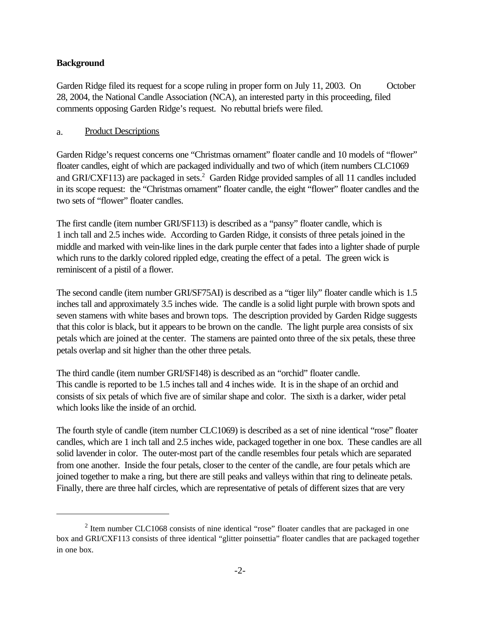## **Background**

Garden Ridge filed its request for a scope ruling in proper form on July 11, 2003. On October 28, 2004, the National Candle Association (NCA), an interested party in this proceeding, filed comments opposing Garden Ridge's request. No rebuttal briefs were filed.

## a. Product Descriptions

Garden Ridge's request concerns one "Christmas ornament" floater candle and 10 models of "flower" floater candles, eight of which are packaged individually and two of which (item numbers CLC1069 and GRI/CXF113) are packaged in sets.<sup>2</sup> Garden Ridge provided samples of all 11 candles included in its scope request: the "Christmas ornament" floater candle, the eight "flower" floater candles and the two sets of "flower" floater candles.

The first candle (item number GRI/SF113) is described as a "pansy" floater candle, which is 1 inch tall and 2.5 inches wide. According to Garden Ridge, it consists of three petals joined in the middle and marked with vein-like lines in the dark purple center that fades into a lighter shade of purple which runs to the darkly colored rippled edge, creating the effect of a petal. The green wick is reminiscent of a pistil of a flower.

The second candle (item number GRI/SF75AI) is described as a "tiger lily" floater candle which is 1.5 inches tall and approximately 3.5 inches wide. The candle is a solid light purple with brown spots and seven stamens with white bases and brown tops. The description provided by Garden Ridge suggests that this color is black, but it appears to be brown on the candle. The light purple area consists of six petals which are joined at the center. The stamens are painted onto three of the six petals, these three petals overlap and sit higher than the other three petals.

The third candle (item number GRI/SF148) is described as an "orchid" floater candle. This candle is reported to be 1.5 inches tall and 4 inches wide. It is in the shape of an orchid and consists of six petals of which five are of similar shape and color. The sixth is a darker, wider petal which looks like the inside of an orchid.

The fourth style of candle (item number CLC1069) is described as a set of nine identical "rose" floater candles, which are 1 inch tall and 2.5 inches wide, packaged together in one box. These candles are all solid lavender in color. The outer-most part of the candle resembles four petals which are separated from one another. Inside the four petals, closer to the center of the candle, are four petals which are joined together to make a ring, but there are still peaks and valleys within that ring to delineate petals. Finally, there are three half circles, which are representative of petals of different sizes that are very

 $2$  Item number CLC1068 consists of nine identical "rose" floater candles that are packaged in one box and GRI/CXF113 consists of three identical "glitter poinsettia" floater candles that are packaged together in one box.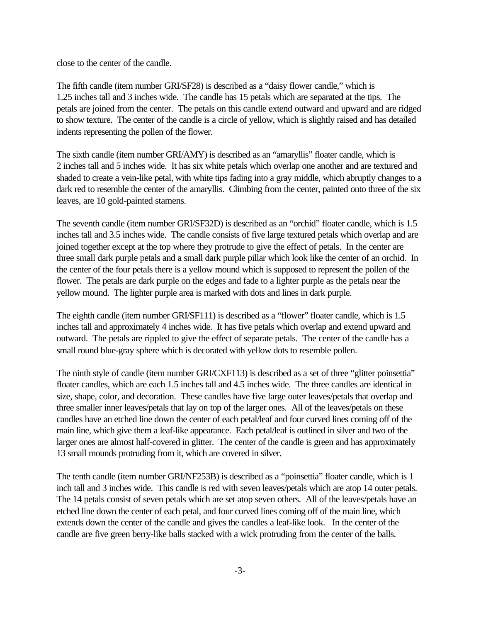close to the center of the candle.

The fifth candle (item number GRI/SF28) is described as a "daisy flower candle," which is 1.25 inches tall and 3 inches wide. The candle has 15 petals which are separated at the tips. The petals are joined from the center. The petals on this candle extend outward and upward and are ridged to show texture. The center of the candle is a circle of yellow, which is slightly raised and has detailed indents representing the pollen of the flower.

The sixth candle (item number GRI/AMY) is described as an "amaryllis" floater candle, which is 2 inches tall and 5 inches wide. It has six white petals which overlap one another and are textured and shaded to create a vein-like petal, with white tips fading into a gray middle, which abruptly changes to a dark red to resemble the center of the amaryllis. Climbing from the center, painted onto three of the six leaves, are 10 gold-painted stamens.

The seventh candle (item number GRI/SF32D) is described as an "orchid" floater candle, which is 1.5 inches tall and 3.5 inches wide. The candle consists of five large textured petals which overlap and are joined together except at the top where they protrude to give the effect of petals. In the center are three small dark purple petals and a small dark purple pillar which look like the center of an orchid. In the center of the four petals there is a yellow mound which is supposed to represent the pollen of the flower. The petals are dark purple on the edges and fade to a lighter purple as the petals near the yellow mound. The lighter purple area is marked with dots and lines in dark purple.

The eighth candle (item number GRI/SF111) is described as a "flower" floater candle, which is 1.5 inches tall and approximately 4 inches wide. It has five petals which overlap and extend upward and outward. The petals are rippled to give the effect of separate petals. The center of the candle has a small round blue-gray sphere which is decorated with yellow dots to resemble pollen.

The ninth style of candle (item number GRI/CXF113) is described as a set of three "glitter poinsettia" floater candles, which are each 1.5 inches tall and 4.5 inches wide. The three candles are identical in size, shape, color, and decoration. These candles have five large outer leaves/petals that overlap and three smaller inner leaves/petals that lay on top of the larger ones. All of the leaves/petals on these candles have an etched line down the center of each petal/leaf and four curved lines coming off of the main line, which give them a leaf-like appearance. Each petal/leaf is outlined in silver and two of the larger ones are almost half-covered in glitter. The center of the candle is green and has approximately 13 small mounds protruding from it, which are covered in silver.

The tenth candle (item number GRI/NF253B) is described as a "poinsettia" floater candle, which is 1 inch tall and 3 inches wide. This candle is red with seven leaves/petals which are atop 14 outer petals. The 14 petals consist of seven petals which are set atop seven others. All of the leaves/petals have an etched line down the center of each petal, and four curved lines coming off of the main line, which extends down the center of the candle and gives the candles a leaf-like look. In the center of the candle are five green berry-like balls stacked with a wick protruding from the center of the balls.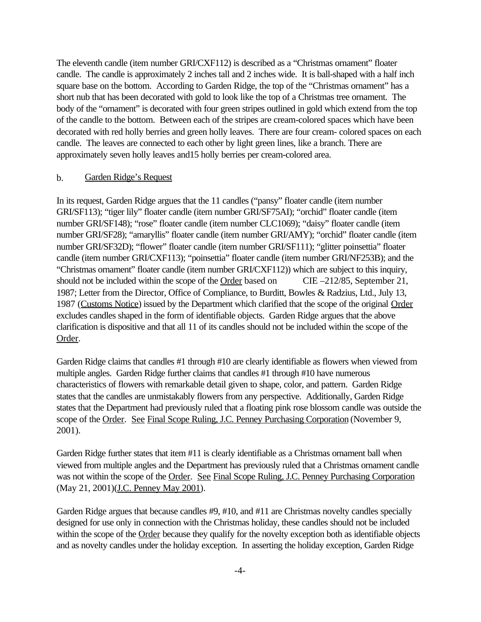The eleventh candle (item number GRI/CXF112) is described as a "Christmas ornament" floater candle. The candle is approximately 2 inches tall and 2 inches wide. It is ball-shaped with a half inch square base on the bottom. According to Garden Ridge, the top of the "Christmas ornament" has a short nub that has been decorated with gold to look like the top of a Christmas tree ornament. The body of the "ornament" is decorated with four green stripes outlined in gold which extend from the top of the candle to the bottom. Between each of the stripes are cream-colored spaces which have been decorated with red holly berries and green holly leaves. There are four cream- colored spaces on each candle. The leaves are connected to each other by light green lines, like a branch. There are approximately seven holly leaves and15 holly berries per cream-colored area.

### b. Garden Ridge's Request

In its request, Garden Ridge argues that the 11 candles ("pansy" floater candle (item number GRI/SF113); "tiger lily" floater candle (item number GRI/SF75AI); "orchid" floater candle (item number GRI/SF148); "rose" floater candle (item number CLC1069); "daisy" floater candle (item number GRI/SF28); "amaryllis" floater candle (item number GRI/AMY); "orchid" floater candle (item number GRI/SF32D); "flower" floater candle (item number GRI/SF111); "glitter poinsettia" floater candle (item number GRI/CXF113); "poinsettia" floater candle (item number GRI/NF253B); and the "Christmas ornament" floater candle (item number GRI/CXF112)) which are subject to this inquiry, should not be included within the scope of the Order based on CIE –212/85, September 21, 1987; Letter from the Director, Office of Compliance, to Burditt, Bowles & Radzius, Ltd., July 13, 1987 (Customs Notice) issued by the Department which clarified that the scope of the original Order excludes candles shaped in the form of identifiable objects. Garden Ridge argues that the above clarification is dispositive and that all 11 of its candles should not be included within the scope of the Order.

Garden Ridge claims that candles #1 through #10 are clearly identifiable as flowers when viewed from multiple angles. Garden Ridge further claims that candles #1 through #10 have numerous characteristics of flowers with remarkable detail given to shape, color, and pattern. Garden Ridge states that the candles are unmistakably flowers from any perspective. Additionally, Garden Ridge states that the Department had previously ruled that a floating pink rose blossom candle was outside the scope of the Order. See Final Scope Ruling, J.C. Penney Purchasing Corporation (November 9, 2001).

Garden Ridge further states that item #11 is clearly identifiable as a Christmas ornament ball when viewed from multiple angles and the Department has previously ruled that a Christmas ornament candle was not within the scope of the Order. See Final Scope Ruling, J.C. Penney Purchasing Corporation (May 21, 2001)(*J.C. Penney May 2001*).

Garden Ridge argues that because candles #9, #10, and #11 are Christmas novelty candles specially designed for use only in connection with the Christmas holiday, these candles should not be included within the scope of the Order because they qualify for the novelty exception both as identifiable objects and as novelty candles under the holiday exception. In asserting the holiday exception, Garden Ridge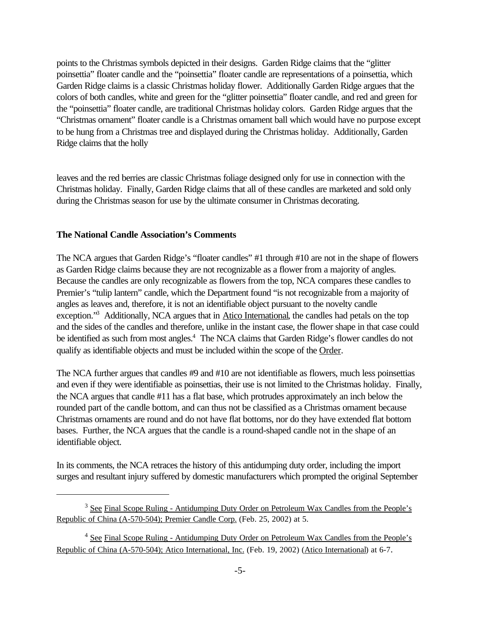points to the Christmas symbols depicted in their designs. Garden Ridge claims that the "glitter poinsettia" floater candle and the "poinsettia" floater candle are representations of a poinsettia, which Garden Ridge claims is a classic Christmas holiday flower. Additionally Garden Ridge argues that the colors of both candles, white and green for the "glitter poinsettia" floater candle, and red and green for the "poinsettia" floater candle, are traditional Christmas holiday colors. Garden Ridge argues that the "Christmas ornament" floater candle is a Christmas ornament ball which would have no purpose except to be hung from a Christmas tree and displayed during the Christmas holiday. Additionally, Garden Ridge claims that the holly

leaves and the red berries are classic Christmas foliage designed only for use in connection with the Christmas holiday. Finally, Garden Ridge claims that all of these candles are marketed and sold only during the Christmas season for use by the ultimate consumer in Christmas decorating.

### **The National Candle Association's Comments**

The NCA argues that Garden Ridge's "floater candles" #1 through #10 are not in the shape of flowers as Garden Ridge claims because they are not recognizable as a flower from a majority of angles. Because the candles are only recognizable as flowers from the top, NCA compares these candles to Premier's "tulip lantern" candle, which the Department found "is not recognizable from a majority of angles as leaves and, therefore, it is not an identifiable object pursuant to the novelty candle exception."<sup>3</sup> Additionally, NCA argues that in Atico International, the candles had petals on the top and the sides of the candles and therefore, unlike in the instant case, the flower shape in that case could be identified as such from most angles.<sup>4</sup> The NCA claims that Garden Ridge's flower candles do not qualify as identifiable objects and must be included within the scope of the Order.

The NCA further argues that candles #9 and #10 are not identifiable as flowers, much less poinsettias and even if they were identifiable as poinsettias, their use is not limited to the Christmas holiday. Finally, the NCA argues that candle #11 has a flat base, which protrudes approximately an inch below the rounded part of the candle bottom, and can thus not be classified as a Christmas ornament because Christmas ornaments are round and do not have flat bottoms, nor do they have extended flat bottom bases. Further, the NCA argues that the candle is a round-shaped candle not in the shape of an identifiable object.

In its comments, the NCA retraces the history of this antidumping duty order, including the import surges and resultant injury suffered by domestic manufacturers which prompted the original September

<sup>&</sup>lt;sup>3</sup> See Final Scope Ruling - Antidumping Duty Order on Petroleum Wax Candles from the People's Republic of China (A-570-504); Premier Candle Corp. (Feb. 25, 2002) at 5.

<sup>&</sup>lt;sup>4</sup> See Final Scope Ruling - Antidumping Duty Order on Petroleum Wax Candles from the People's Republic of China (A-570-504); Atico International, Inc. (Feb. 19, 2002) (Atico International) at 6-7.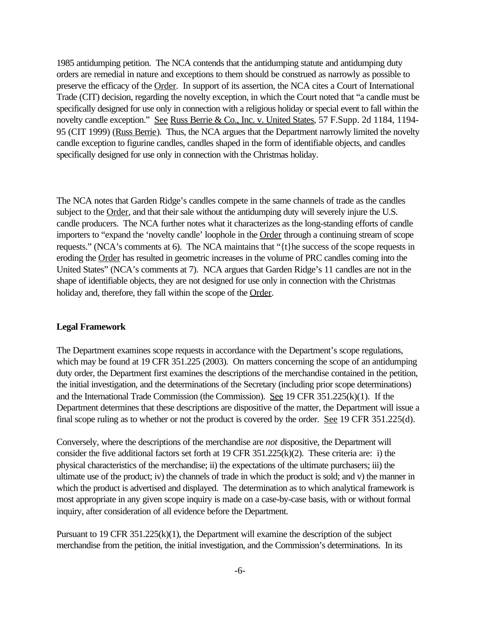1985 antidumping petition. The NCA contends that the antidumping statute and antidumping duty orders are remedial in nature and exceptions to them should be construed as narrowly as possible to preserve the efficacy of the Order. In support of its assertion, the NCA cites a Court of International Trade (CIT) decision, regarding the novelty exception, in which the Court noted that "a candle must be specifically designed for use only in connection with a religious holiday or special event to fall within the novelty candle exception." See Russ Berrie & Co., Inc. v. United States, 57 F. Supp. 2d 1184, 1194-95 (CIT 1999) (Russ Berrie). Thus, the NCA argues that the Department narrowly limited the novelty candle exception to figurine candles, candles shaped in the form of identifiable objects, and candles specifically designed for use only in connection with the Christmas holiday.

The NCA notes that Garden Ridge's candles compete in the same channels of trade as the candles subject to the Order, and that their sale without the antidumping duty will severely injure the U.S. candle producers. The NCA further notes what it characterizes as the long-standing efforts of candle importers to "expand the 'novelty candle' loophole in the Order through a continuing stream of scope requests." (NCA's comments at 6). The NCA maintains that "{t}he success of the scope requests in eroding the Order has resulted in geometric increases in the volume of PRC candles coming into the United States" (NCA's comments at 7). NCA argues that Garden Ridge's 11 candles are not in the shape of identifiable objects, they are not designed for use only in connection with the Christmas holiday and, therefore, they fall within the scope of the Order.

## **Legal Framework**

The Department examines scope requests in accordance with the Department's scope regulations, which may be found at 19 CFR 351.225 (2003). On matters concerning the scope of an antidumping duty order, the Department first examines the descriptions of the merchandise contained in the petition, the initial investigation, and the determinations of the Secretary (including prior scope determinations) and the International Trade Commission (the Commission). See 19 CFR 351.225(k)(1). If the Department determines that these descriptions are dispositive of the matter, the Department will issue a final scope ruling as to whether or not the product is covered by the order. See 19 CFR 351.225(d).

Conversely, where the descriptions of the merchandise are *not* dispositive, the Department will consider the five additional factors set forth at 19 CFR 351.225(k)(2). These criteria are: i) the physical characteristics of the merchandise; ii) the expectations of the ultimate purchasers; iii) the ultimate use of the product; iv) the channels of trade in which the product is sold; and v) the manner in which the product is advertised and displayed. The determination as to which analytical framework is most appropriate in any given scope inquiry is made on a case-by-case basis, with or without formal inquiry, after consideration of all evidence before the Department.

Pursuant to 19 CFR 351.225(k)(1), the Department will examine the description of the subject merchandise from the petition, the initial investigation, and the Commission's determinations. In its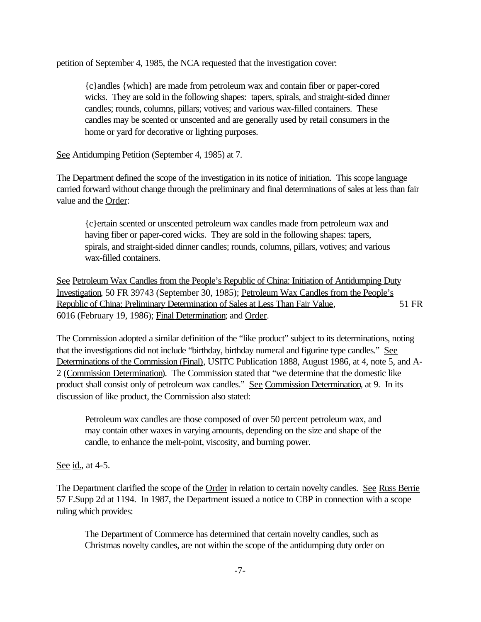petition of September 4, 1985, the NCA requested that the investigation cover:

{c}andles {which} are made from petroleum wax and contain fiber or paper-cored wicks. They are sold in the following shapes: tapers, spirals, and straight-sided dinner candles; rounds, columns, pillars; votives; and various wax-filled containers. These candles may be scented or unscented and are generally used by retail consumers in the home or yard for decorative or lighting purposes.

See Antidumping Petition (September 4, 1985) at 7.

The Department defined the scope of the investigation in its notice of initiation. This scope language carried forward without change through the preliminary and final determinations of sales at less than fair value and the Order:

{c}ertain scented or unscented petroleum wax candles made from petroleum wax and having fiber or paper-cored wicks. They are sold in the following shapes: tapers, spirals, and straight-sided dinner candles; rounds, columns, pillars, votives; and various wax-filled containers.

See Petroleum Wax Candles from the People's Republic of China: Initiation of Antidumping Duty Investigation, 50 FR 39743 (September 30, 1985); Petroleum Wax Candles from the People's Republic of China: Preliminary Determination of Sales at Less Than Fair Value, 51 FR 6016 (February 19, 1986); Final Determination; and Order.

The Commission adopted a similar definition of the "like product" subject to its determinations, noting that the investigations did not include "birthday, birthday numeral and figurine type candles." See Determinations of the Commission (Final), USITC Publication 1888, August 1986, at 4, note 5, and A-2 (Commission Determination). The Commission stated that "we determine that the domestic like product shall consist only of petroleum wax candles." See Commission Determination, at 9. In its discussion of like product, the Commission also stated:

Petroleum wax candles are those composed of over 50 percent petroleum wax, and may contain other waxes in varying amounts, depending on the size and shape of the candle, to enhance the melt-point, viscosity, and burning power.

See id., at 4-5.

The Department clarified the scope of the Order in relation to certain novelty candles. See Russ Berrie 57 F.Supp 2d at 1194. In 1987, the Department issued a notice to CBP in connection with a scope ruling which provides:

The Department of Commerce has determined that certain novelty candles, such as Christmas novelty candles, are not within the scope of the antidumping duty order on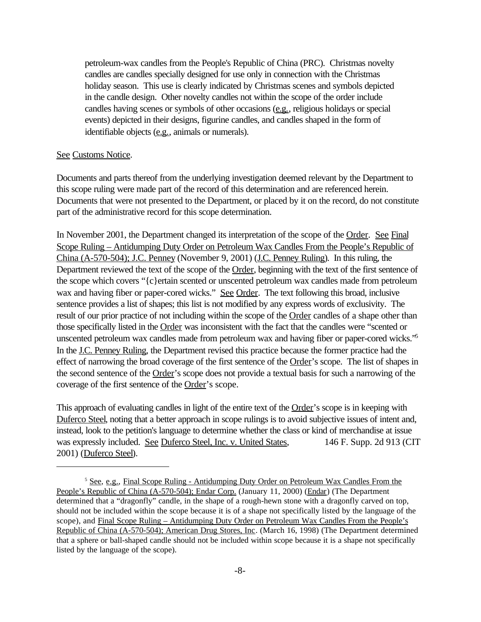petroleum-wax candles from the People's Republic of China (PRC). Christmas novelty candles are candles specially designed for use only in connection with the Christmas holiday season. This use is clearly indicated by Christmas scenes and symbols depicted in the candle design. Other novelty candles not within the scope of the order include candles having scenes or symbols of other occasions (e.g., religious holidays or special events) depicted in their designs, figurine candles, and candles shaped in the form of identifiable objects (e.g., animals or numerals).

#### See Customs Notice.

Documents and parts thereof from the underlying investigation deemed relevant by the Department to this scope ruling were made part of the record of this determination and are referenced herein. Documents that were not presented to the Department, or placed by it on the record, do not constitute part of the administrative record for this scope determination.

In November 2001, the Department changed its interpretation of the scope of the Order. See Final Scope Ruling – Antidumping Duty Order on Petroleum Wax Candles From the People's Republic of China (A-570-504); J.C. Penney (November 9, 2001) (J.C. Penney Ruling). In this ruling, the Department reviewed the text of the scope of the Order, beginning with the text of the first sentence of the scope which covers "{c}ertain scented or unscented petroleum wax candles made from petroleum wax and having fiber or paper-cored wicks." See Order. The text following this broad, inclusive sentence provides a list of shapes; this list is not modified by any express words of exclusivity. The result of our prior practice of not including within the scope of the Order candles of a shape other than those specifically listed in the Order was inconsistent with the fact that the candles were "scented or unscented petroleum wax candles made from petroleum wax and having fiber or paper-cored wicks."<sup>5</sup> In the J.C. Penney Ruling, the Department revised this practice because the former practice had the effect of narrowing the broad coverage of the first sentence of the Order's scope. The list of shapes in the second sentence of the Order's scope does not provide a textual basis for such a narrowing of the coverage of the first sentence of the Order's scope.

This approach of evaluating candles in light of the entire text of the Order's scope is in keeping with Duferco Steel, noting that a better approach in scope rulings is to avoid subjective issues of intent and, instead, look to the petition's language to determine whether the class or kind of merchandise at issue was expressly included. See Duferco Steel, Inc. v. United States, 146 F. Supp. 2d 913 (CIT 2001) (Duferco Steel).

<sup>5</sup> See, e.g., Final Scope Ruling - Antidumping Duty Order on Petroleum Wax Candles From the People's Republic of China (A-570-504); Endar Corp. (January 11, 2000) (Endar) (The Department determined that a "dragonfly" candle, in the shape of a rough-hewn stone with a dragonfly carved on top, should not be included within the scope because it is of a shape not specifically listed by the language of the scope), and Final Scope Ruling – Antidumping Duty Order on Petroleum Wax Candles From the People's Republic of China (A-570-504); American Drug Stores, Inc. (March 16, 1998) (The Department determined that a sphere or ball-shaped candle should not be included within scope because it is a shape not specifically listed by the language of the scope).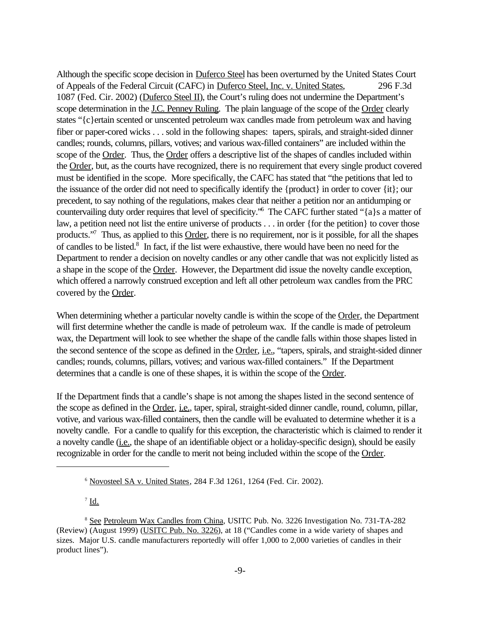Although the specific scope decision in Duferco Steel has been overturned by the United States Court of Appeals of the Federal Circuit (CAFC) in Duferco Steel, Inc. v. United States, 296 F.3d 1087 (Fed. Cir. 2002) (Duferco Steel II), the Court's ruling does not undermine the Department's scope determination in the J.C. Penney Ruling. The plain language of the scope of the Order clearly states "{c}ertain scented or unscented petroleum wax candles made from petroleum wax and having fiber or paper-cored wicks . . . sold in the following shapes: tapers, spirals, and straight-sided dinner candles; rounds, columns, pillars, votives; and various wax-filled containers" are included within the scope of the Order. Thus, the Order offers a descriptive list of the shapes of candles included within the Order, but, as the courts have recognized, there is no requirement that every single product covered must be identified in the scope. More specifically, the CAFC has stated that "the petitions that led to the issuance of the order did not need to specifically identify the {product} in order to cover {it}; our precedent, to say nothing of the regulations, makes clear that neither a petition nor an antidumping or countervailing duty order requires that level of specificity."<sup>6</sup> The CAFC further stated "{a}s a matter of law, a petition need not list the entire universe of products . . . in order {for the petition} to cover those products."<sup>7</sup> Thus, as applied to this Order, there is no requirement, nor is it possible, for all the shapes of candles to be listed.<sup>8</sup> In fact, if the list were exhaustive, there would have been no need for the Department to render a decision on novelty candles or any other candle that was not explicitly listed as a shape in the scope of the Order. However, the Department did issue the novelty candle exception, which offered a narrowly construed exception and left all other petroleum wax candles from the PRC covered by the Order.

When determining whether a particular novelty candle is within the scope of the Order, the Department will first determine whether the candle is made of petroleum wax. If the candle is made of petroleum wax, the Department will look to see whether the shape of the candle falls within those shapes listed in the second sentence of the scope as defined in the Order, i.e., "tapers, spirals, and straight-sided dinner candles; rounds, columns, pillars, votives; and various wax-filled containers." If the Department determines that a candle is one of these shapes, it is within the scope of the Order.

If the Department finds that a candle's shape is not among the shapes listed in the second sentence of the scope as defined in the Order, *i.e.*, taper, spiral, straight-sided dinner candle, round, column, pillar, votive, and various wax-filled containers, then the candle will be evaluated to determine whether it is a novelty candle. For a candle to qualify for this exception, the characteristic which is claimed to render it a novelty candle (i.e., the shape of an identifiable object or a holiday-specific design), should be easily recognizable in order for the candle to merit not being included within the scope of the Order.

 $^7$  <u>Id.</u>

<sup>6</sup> Novosteel SA v. United States, 284 F.3d 1261, 1264 (Fed. Cir. 2002).

<sup>&</sup>lt;sup>8</sup> See Petroleum Wax Candles from China, USITC Pub. No. 3226 Investigation No. 731-TA-282 (Review) (August 1999) (USITC Pub. No. 3226), at 18 ("Candles come in a wide variety of shapes and sizes. Major U.S. candle manufacturers reportedly will offer 1,000 to 2,000 varieties of candles in their product lines").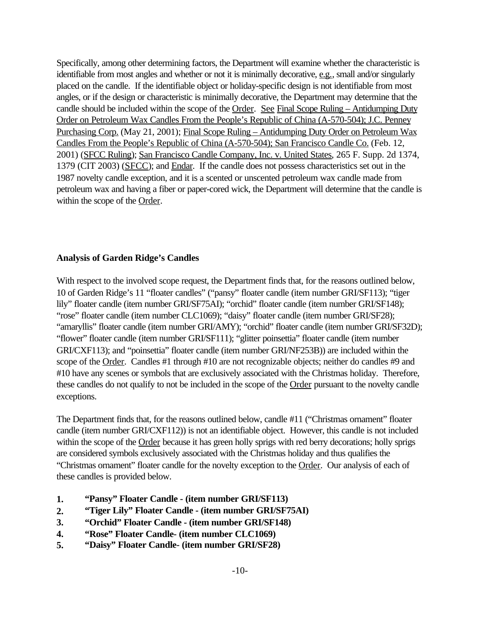Specifically, among other determining factors, the Department will examine whether the characteristic is identifiable from most angles and whether or not it is minimally decorative, e.g., small and/or singularly placed on the candle. If the identifiable object or holiday-specific design is not identifiable from most angles, or if the design or characteristic is minimally decorative, the Department may determine that the candle should be included within the scope of the Order. See Final Scope Ruling – Antidumping Duty Order on Petroleum Wax Candles From the People's Republic of China (A-570-504); J.C. Penney Purchasing Corp. (May 21, 2001); Final Scope Ruling – Antidumping Duty Order on Petroleum Wax Candles From the People's Republic of China (A-570-504); San Francisco Candle Co. (Feb. 12, 2001) (SFCC Ruling); San Francisco Candle Company, Inc. v. United States, 265 F. Supp. 2d 1374, 1379 (CIT 2003) (SFCC); and Endar. If the candle does not possess characteristics set out in the 1987 novelty candle exception, and it is a scented or unscented petroleum wax candle made from petroleum wax and having a fiber or paper-cored wick, the Department will determine that the candle is within the scope of the Order.

## **Analysis of Garden Ridge's Candles**

With respect to the involved scope request, the Department finds that, for the reasons outlined below, 10 of Garden Ridge's 11 "floater candles" ("pansy" floater candle (item number GRI/SF113); "tiger lily" floater candle (item number GRI/SF75AI); "orchid" floater candle (item number GRI/SF148); "rose" floater candle (item number CLC1069); "daisy" floater candle (item number GRI/SF28); "amaryllis" floater candle (item number GRI/AMY); "orchid" floater candle (item number GRI/SF32D); "flower" floater candle (item number GRI/SF111); "glitter poinsettia" floater candle (item number GRI/CXF113); and "poinsettia" floater candle (item number GRI/NF253B)) are included within the scope of the Order. Candles #1 through #10 are not recognizable objects; neither do candles #9 and #10 have any scenes or symbols that are exclusively associated with the Christmas holiday. Therefore, these candles do not qualify to not be included in the scope of the Order pursuant to the novelty candle exceptions.

The Department finds that, for the reasons outlined below, candle #11 ("Christmas ornament" floater candle (item number GRI/CXF112)) is not an identifiable object. However, this candle is not included within the scope of the Order because it has green holly sprigs with red berry decorations; holly sprigs are considered symbols exclusively associated with the Christmas holiday and thus qualifies the "Christmas ornament" floater candle for the novelty exception to the Order. Our analysis of each of these candles is provided below.

- **1. "Pansy" Floater Candle (item number GRI/SF113)**
- **2. "Tiger Lily" Floater Candle (item number GRI/SF75AI)**
- **3. "Orchid" Floater Candle (item number GRI/SF148)**
- **4. "Rose" Floater Candle- (item number CLC1069)**
- **5. "Daisy" Floater Candle- (item number GRI/SF28)**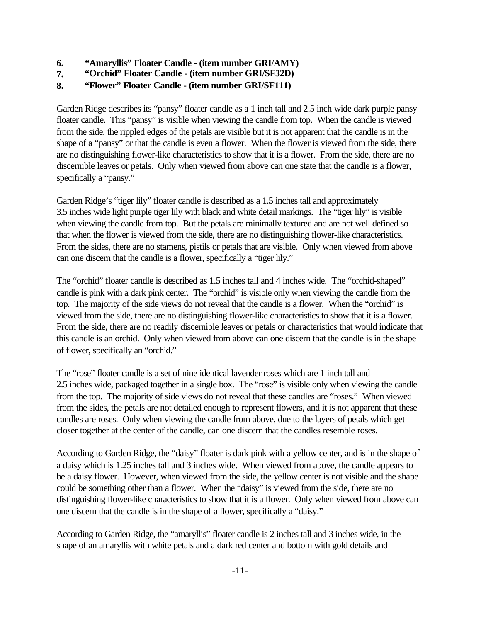- **6. "Amaryllis" Floater Candle (item number GRI/AMY)**
- **7. "Orchid" Floater Candle (item number GRI/SF32D)**
- **8. "Flower" Floater Candle (item number GRI/SF111)**

Garden Ridge describes its "pansy" floater candle as a 1 inch tall and 2.5 inch wide dark purple pansy floater candle. This "pansy" is visible when viewing the candle from top. When the candle is viewed from the side, the rippled edges of the petals are visible but it is not apparent that the candle is in the shape of a "pansy" or that the candle is even a flower. When the flower is viewed from the side, there are no distinguishing flower-like characteristics to show that it is a flower. From the side, there are no discernible leaves or petals. Only when viewed from above can one state that the candle is a flower, specifically a "pansy."

Garden Ridge's "tiger lily" floater candle is described as a 1.5 inches tall and approximately 3.5 inches wide light purple tiger lily with black and white detail markings. The "tiger lily" is visible when viewing the candle from top. But the petals are minimally textured and are not well defined so that when the flower is viewed from the side, there are no distinguishing flower-like characteristics. From the sides, there are no stamens, pistils or petals that are visible. Only when viewed from above can one discern that the candle is a flower, specifically a "tiger lily."

The "orchid" floater candle is described as 1.5 inches tall and 4 inches wide. The "orchid-shaped" candle is pink with a dark pink center. The "orchid" is visible only when viewing the candle from the top. The majority of the side views do not reveal that the candle is a flower. When the "orchid" is viewed from the side, there are no distinguishing flower-like characteristics to show that it is a flower. From the side, there are no readily discernible leaves or petals or characteristics that would indicate that this candle is an orchid. Only when viewed from above can one discern that the candle is in the shape of flower, specifically an "orchid."

The "rose" floater candle is a set of nine identical lavender roses which are 1 inch tall and 2.5 inches wide, packaged together in a single box. The "rose" is visible only when viewing the candle from the top. The majority of side views do not reveal that these candles are "roses." When viewed from the sides, the petals are not detailed enough to represent flowers, and it is not apparent that these candles are roses. Only when viewing the candle from above, due to the layers of petals which get closer together at the center of the candle, can one discern that the candles resemble roses.

According to Garden Ridge, the "daisy" floater is dark pink with a yellow center, and is in the shape of a daisy which is 1.25 inches tall and 3 inches wide. When viewed from above, the candle appears to be a daisy flower. However, when viewed from the side, the yellow center is not visible and the shape could be something other than a flower. When the "daisy" is viewed from the side, there are no distinguishing flower-like characteristics to show that it is a flower. Only when viewed from above can one discern that the candle is in the shape of a flower, specifically a "daisy."

According to Garden Ridge, the "amaryllis" floater candle is 2 inches tall and 3 inches wide, in the shape of an amaryllis with white petals and a dark red center and bottom with gold details and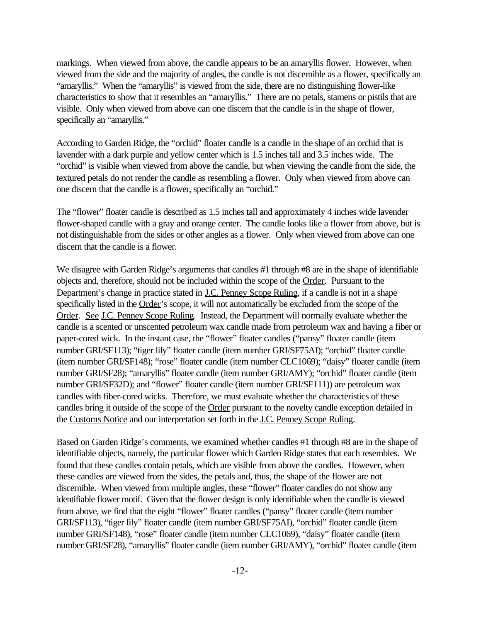markings. When viewed from above, the candle appears to be an amaryllis flower. However, when viewed from the side and the majority of angles, the candle is not discernible as a flower, specifically an "amaryllis." When the "amaryllis" is viewed from the side, there are no distinguishing flower-like characteristics to show that it resembles an "amaryllis." There are no petals, stamens or pistils that are visible. Only when viewed from above can one discern that the candle is in the shape of flower, specifically an "amaryllis."

According to Garden Ridge, the "orchid" floater candle is a candle in the shape of an orchid that is lavender with a dark purple and yellow center which is 1.5 inches tall and 3.5 inches wide. The "orchid" is visible when viewed from above the candle, but when viewing the candle from the side, the textured petals do not render the candle as resembling a flower. Only when viewed from above can one discern that the candle is a flower, specifically an "orchid."

The "flower" floater candle is described as 1.5 inches tall and approximately 4 inches wide lavender flower-shaped candle with a gray and orange center. The candle looks like a flower from above, but is not distinguishable from the sides or other angles as a flower. Only when viewed from above can one discern that the candle is a flower.

We disagree with Garden Ridge's arguments that candles #1 through #8 are in the shape of identifiable objects and, therefore, should not be included within the scope of the Order. Pursuant to the Department's change in practice stated in J.C. Penney Scope Ruling, if a candle is not in a shape specifically listed in the Order's scope, it will not automatically be excluded from the scope of the Order. See J.C. Penney Scope Ruling. Instead, the Department will normally evaluate whether the candle is a scented or unscented petroleum wax candle made from petroleum wax and having a fiber or paper-cored wick. In the instant case, the "flower" floater candles ("pansy" floater candle (item number GRI/SF113); "tiger lily" floater candle (item number GRI/SF75AI); "orchid" floater candle (item number GRI/SF148); "rose" floater candle (item number CLC1069); "daisy" floater candle (item number GRI/SF28); "amaryllis" floater candle (item number GRI/AMY); "orchid" floater candle (item number GRI/SF32D); and "flower" floater candle (item number GRI/SF111)) are petroleum wax candles with fiber-cored wicks. Therefore, we must evaluate whether the characteristics of these candles bring it outside of the scope of the Order pursuant to the novelty candle exception detailed in the Customs Notice and our interpretation set forth in the J.C. Penney Scope Ruling.

Based on Garden Ridge's comments, we examined whether candles #1 through #8 are in the shape of identifiable objects, namely, the particular flower which Garden Ridge states that each resembles. We found that these candles contain petals, which are visible from above the candles. However, when these candles are viewed from the sides, the petals and, thus, the shape of the flower are not discernible. When viewed from multiple angles, these "flower" floater candles do not show any identifiable flower motif. Given that the flower design is only identifiable when the candle is viewed from above, we find that the eight "flower" floater candles ("pansy" floater candle (item number GRI/SF113), "tiger lily" floater candle (item number GRI/SF75AI), "orchid" floater candle (item number GRI/SF148), "rose" floater candle (item number CLC1069), "daisy" floater candle (item number GRI/SF28), "amaryllis" floater candle (item number GRI/AMY), "orchid" floater candle (item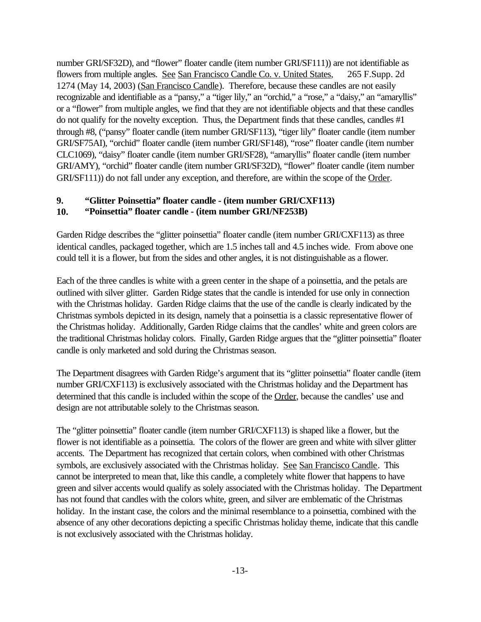number GRI/SF32D), and "flower" floater candle (item number GRI/SF111)) are not identifiable as flowers from multiple angles. See San Francisco Candle Co. v. United States, 265 F.Supp. 2d 1274 (May 14, 2003) (San Francisco Candle). Therefore, because these candles are not easily recognizable and identifiable as a "pansy," a "tiger lily," an "orchid," a "rose," a "daisy," an "amaryllis" or a "flower" from multiple angles, we find that they are not identifiable objects and that these candles do not qualify for the novelty exception. Thus, the Department finds that these candles, candles #1 through #8, ("pansy" floater candle (item number GRI/SF113), "tiger lily" floater candle (item number GRI/SF75AI), "orchid" floater candle (item number GRI/SF148), "rose" floater candle (item number CLC1069), "daisy" floater candle (item number GRI/SF28), "amaryllis" floater candle (item number GRI/AMY), "orchid" floater candle (item number GRI/SF32D), "flower" floater candle (item number GRI/SF111)) do not fall under any exception, and therefore, are within the scope of the Order.

## **9. "Glitter Poinsettia" floater candle - (item number GRI/CXF113) 10. "Poinsettia" floater candle - (item number GRI/NF253B)**

Garden Ridge describes the "glitter poinsettia" floater candle (item number GRI/CXF113) as three identical candles, packaged together, which are 1.5 inches tall and 4.5 inches wide. From above one could tell it is a flower, but from the sides and other angles, it is not distinguishable as a flower.

Each of the three candles is white with a green center in the shape of a poinsettia, and the petals are outlined with silver glitter. Garden Ridge states that the candle is intended for use only in connection with the Christmas holiday. Garden Ridge claims that the use of the candle is clearly indicated by the Christmas symbols depicted in its design, namely that a poinsettia is a classic representative flower of the Christmas holiday. Additionally, Garden Ridge claims that the candles' white and green colors are the traditional Christmas holiday colors. Finally, Garden Ridge argues that the "glitter poinsettia" floater candle is only marketed and sold during the Christmas season.

The Department disagrees with Garden Ridge's argument that its "glitter poinsettia" floater candle (item number GRI/CXF113) is exclusively associated with the Christmas holiday and the Department has determined that this candle is included within the scope of the Order, because the candles' use and design are not attributable solely to the Christmas season.

The "glitter poinsettia" floater candle (item number GRI/CXF113) is shaped like a flower, but the flower is not identifiable as a poinsettia. The colors of the flower are green and white with silver glitter accents. The Department has recognized that certain colors, when combined with other Christmas symbols, are exclusively associated with the Christmas holiday. See San Francisco Candle. This cannot be interpreted to mean that, like this candle, a completely white flower that happens to have green and silver accents would qualify as solely associated with the Christmas holiday. The Department has not found that candles with the colors white, green, and silver are emblematic of the Christmas holiday. In the instant case, the colors and the minimal resemblance to a poinsettia, combined with the absence of any other decorations depicting a specific Christmas holiday theme, indicate that this candle is not exclusively associated with the Christmas holiday.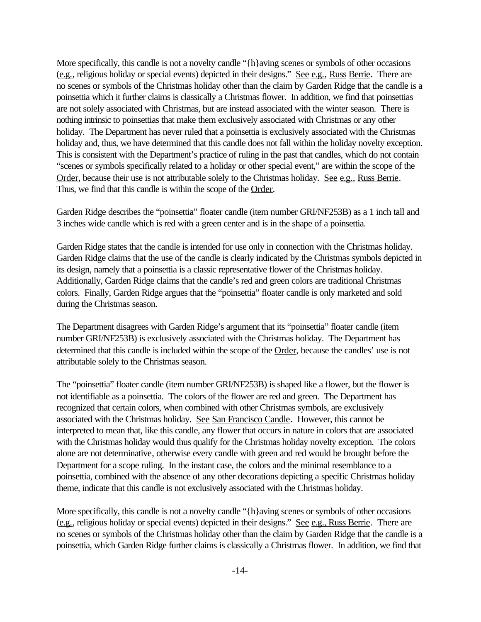More specifically, this candle is not a novelty candle " $\{h\}$ aving scenes or symbols of other occasions (e.g., religious holiday or special events) depicted in their designs." See e.g., Russ Berrie. There are no scenes or symbols of the Christmas holiday other than the claim by Garden Ridge that the candle is a poinsettia which it further claims is classically a Christmas flower. In addition, we find that poinsettias are not solely associated with Christmas, but are instead associated with the winter season. There is nothing intrinsic to poinsettias that make them exclusively associated with Christmas or any other holiday. The Department has never ruled that a poinsettia is exclusively associated with the Christmas holiday and, thus, we have determined that this candle does not fall within the holiday novelty exception. This is consistent with the Department's practice of ruling in the past that candles, which do not contain "scenes or symbols specifically related to a holiday or other special event," are within the scope of the Order, because their use is not attributable solely to the Christmas holiday. See e.g., Russ Berrie. Thus, we find that this candle is within the scope of the Order.

Garden Ridge describes the "poinsettia" floater candle (item number GRI/NF253B) as a 1 inch tall and 3 inches wide candle which is red with a green center and is in the shape of a poinsettia.

Garden Ridge states that the candle is intended for use only in connection with the Christmas holiday. Garden Ridge claims that the use of the candle is clearly indicated by the Christmas symbols depicted in its design, namely that a poinsettia is a classic representative flower of the Christmas holiday. Additionally, Garden Ridge claims that the candle's red and green colors are traditional Christmas colors. Finally, Garden Ridge argues that the "poinsettia" floater candle is only marketed and sold during the Christmas season.

The Department disagrees with Garden Ridge's argument that its "poinsettia" floater candle (item number GRI/NF253B) is exclusively associated with the Christmas holiday. The Department has determined that this candle is included within the scope of the Order, because the candles' use is not attributable solely to the Christmas season.

The "poinsettia" floater candle (item number GRI/NF253B) is shaped like a flower, but the flower is not identifiable as a poinsettia. The colors of the flower are red and green. The Department has recognized that certain colors, when combined with other Christmas symbols, are exclusively associated with the Christmas holiday. See San Francisco Candle. However, this cannot be interpreted to mean that, like this candle, any flower that occurs in nature in colors that are associated with the Christmas holiday would thus qualify for the Christmas holiday novelty exception. The colors alone are not determinative, otherwise every candle with green and red would be brought before the Department for a scope ruling. In the instant case, the colors and the minimal resemblance to a poinsettia, combined with the absence of any other decorations depicting a specific Christmas holiday theme, indicate that this candle is not exclusively associated with the Christmas holiday.

More specifically, this candle is not a novelty candle " $\{h\}$ aving scenes or symbols of other occasions (e.g., religious holiday or special events) depicted in their designs." See e.g., Russ Berrie. There are no scenes or symbols of the Christmas holiday other than the claim by Garden Ridge that the candle is a poinsettia, which Garden Ridge further claims is classically a Christmas flower. In addition, we find that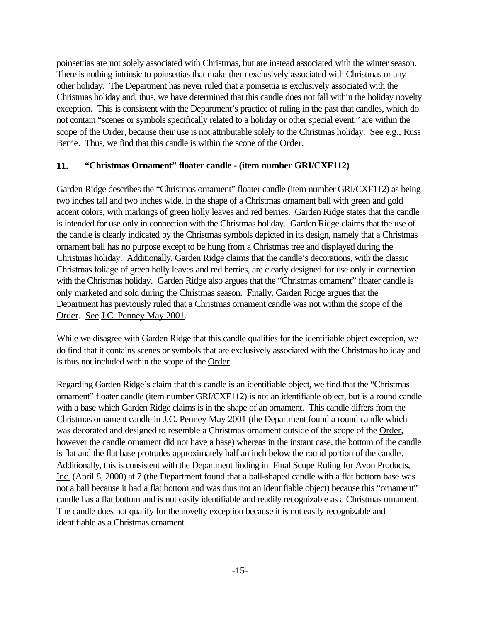poinsettias are not solely associated with Christmas, but are instead associated with the winter season. There is nothing intrinsic to poinsettias that make them exclusively associated with Christmas or any other holiday. The Department has never ruled that a poinsettia is exclusively associated with the Christmas holiday and, thus, we have determined that this candle does not fall within the holiday novelty exception. This is consistent with the Department's practice of ruling in the past that candles, which do not contain "scenes or symbols specifically related to a holiday or other special event," are within the scope of the Order, because their use is not attributable solely to the Christmas holiday. See e.g., Russ Berrie. Thus, we find that this candle is within the scope of the Order.

## **11. "Christmas Ornament" floater candle - (item number GRI/CXF112)**

Garden Ridge describes the "Christmas ornament" floater candle (item number GRI/CXF112) as being two inches tall and two inches wide, in the shape of a Christmas ornament ball with green and gold accent colors, with markings of green holly leaves and red berries. Garden Ridge states that the candle is intended for use only in connection with the Christmas holiday. Garden Ridge claims that the use of the candle is clearly indicated by the Christmas symbols depicted in its design, namely that a Christmas ornament ball has no purpose except to be hung from a Christmas tree and displayed during the Christmas holiday. Additionally, Garden Ridge claims that the candle's decorations, with the classic Christmas foliage of green holly leaves and red berries, are clearly designed for use only in connection with the Christmas holiday. Garden Ridge also argues that the "Christmas ornament" floater candle is only marketed and sold during the Christmas season. Finally, Garden Ridge argues that the Department has previously ruled that a Christmas ornament candle was not within the scope of the Order. See J.C. Penney May 2001.

While we disagree with Garden Ridge that this candle qualifies for the identifiable object exception, we do find that it contains scenes or symbols that are exclusively associated with the Christmas holiday and is thus not included within the scope of the Order.

Regarding Garden Ridge's claim that this candle is an identifiable object, we find that the "Christmas ornament" floater candle (item number GRI/CXF112) is not an identifiable object, but is a round candle with a base which Garden Ridge claims is in the shape of an ornament. This candle differs from the Christmas ornament candle in J.C. Penney May 2001 (the Department found a round candle which was decorated and designed to resemble a Christmas ornament outside of the scope of the Order, however the candle ornament did not have a base) whereas in the instant case, the bottom of the candle is flat and the flat base protrudes approximately half an inch below the round portion of the candle. Additionally, this is consistent with the Department finding in Final Scope Ruling for Avon Products, Inc. (April 8, 2000) at 7 (the Department found that a ball-shaped candle with a flat bottom base was not a ball because it had a flat bottom and was thus not an identifiable object) because this "ornament" candle has a flat bottom and is not easily identifiable and readily recognizable as a Christmas ornament. The candle does not qualify for the novelty exception because it is not easily recognizable and identifiable as a Christmas ornament.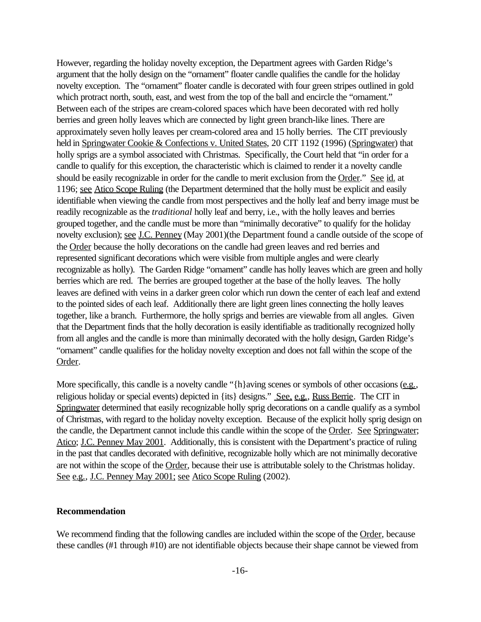However, regarding the holiday novelty exception, the Department agrees with Garden Ridge's argument that the holly design on the "ornament" floater candle qualifies the candle for the holiday novelty exception. The "ornament" floater candle is decorated with four green stripes outlined in gold which protract north, south, east, and west from the top of the ball and encircle the "ornament." Between each of the stripes are cream-colored spaces which have been decorated with red holly berries and green holly leaves which are connected by light green branch-like lines. There are approximately seven holly leaves per cream-colored area and 15 holly berries. The CIT previously held in Springwater Cookie & Confections v. United States, 20 CIT 1192 (1996) (Springwater) that holly sprigs are a symbol associated with Christmas. Specifically, the Court held that "in order for a candle to qualify for this exception, the characteristic which is claimed to render it a novelty candle should be easily recognizable in order for the candle to merit exclusion from the Order." See id. at 1196; see Atico Scope Ruling (the Department determined that the holly must be explicit and easily identifiable when viewing the candle from most perspectives and the holly leaf and berry image must be readily recognizable as the *traditional* holly leaf and berry, i.e., with the holly leaves and berries grouped together, and the candle must be more than "minimally decorative" to qualify for the holiday novelty exclusion); <u>see J.C. Penney</u> (May 2001)(the Department found a candle outside of the scope of the Order because the holly decorations on the candle had green leaves and red berries and represented significant decorations which were visible from multiple angles and were clearly recognizable as holly). The Garden Ridge "ornament" candle has holly leaves which are green and holly berries which are red. The berries are grouped together at the base of the holly leaves. The holly leaves are defined with veins in a darker green color which run down the center of each leaf and extend to the pointed sides of each leaf. Additionally there are light green lines connecting the holly leaves together, like a branch. Furthermore, the holly sprigs and berries are viewable from all angles. Given that the Department finds that the holly decoration is easily identifiable as traditionally recognized holly from all angles and the candle is more than minimally decorated with the holly design, Garden Ridge's "ornament" candle qualifies for the holiday novelty exception and does not fall within the scope of the Order.

More specifically, this candle is a novelty candle "{h}aving scenes or symbols of other occasions (e.g., religious holiday or special events) depicted in {its} designs." See, e.g., Russ Berrie. The CIT in Springwater determined that easily recognizable holly sprig decorations on a candle qualify as a symbol of Christmas, with regard to the holiday novelty exception. Because of the explicit holly sprig design on the candle, the Department cannot include this candle within the scope of the Order. See Springwater; Atico; J.C. Penney May 2001. Additionally, this is consistent with the Department's practice of ruling in the past that candles decorated with definitive, recognizable holly which are not minimally decorative are not within the scope of the Order, because their use is attributable solely to the Christmas holiday. See e.g., J.C. Penney May 2001; see Atico Scope Ruling (2002).

## **Recommendation**

We recommend finding that the following candles are included within the scope of the Order, because these candles (#1 through #10) are not identifiable objects because their shape cannot be viewed from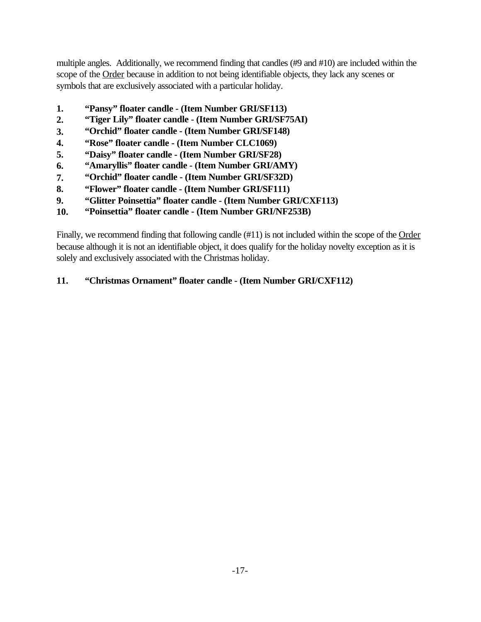multiple angles. Additionally, we recommend finding that candles (#9 and #10) are included within the scope of the Order because in addition to not being identifiable objects, they lack any scenes or symbols that are exclusively associated with a particular holiday.

- **1. "Pansy" floater candle (Item Number GRI/SF113)**
- **2. "Tiger Lily" floater candle (Item Number GRI/SF75AI)**
- **3. "Orchid" floater candle (Item Number GRI/SF148)**
- **4. "Rose" floater candle (Item Number CLC1069)**
- **5. "Daisy" floater candle (Item Number GRI/SF28)**
- **6. "Amaryllis" floater candle (Item Number GRI/AMY)**
- **7. "Orchid" floater candle (Item Number GRI/SF32D)**
- **8. "Flower" floater candle (Item Number GRI/SF111)**
- **9. "Glitter Poinsettia" floater candle (Item Number GRI/CXF113)**
- **10. "Poinsettia" floater candle (Item Number GRI/NF253B)**

Finally, we recommend finding that following candle (#11) is not included within the scope of the Order because although it is not an identifiable object, it does qualify for the holiday novelty exception as it is solely and exclusively associated with the Christmas holiday.

# **11. "Christmas Ornament" floater candle - (Item Number GRI/CXF112)**